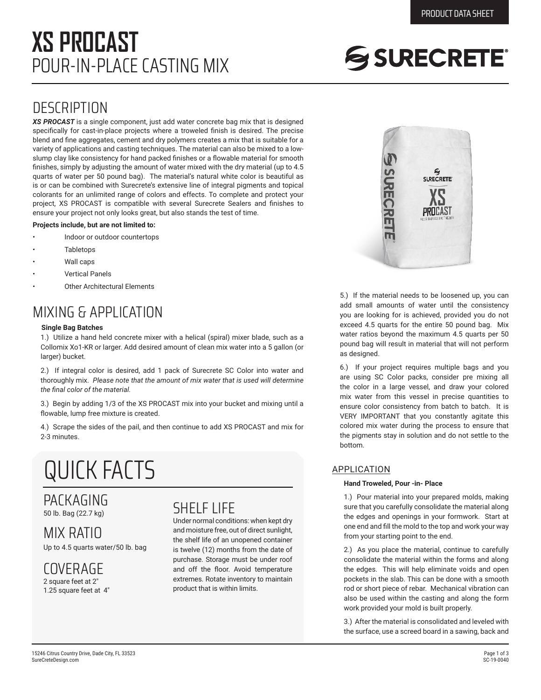## POUR-IN-PLACE CASTING MIX **XS PROCAST**

# SSURECRETE®

### **DESCRIPTION**

*XS PROCAST* is a single component, just add water concrete bag mix that is designed specifically for cast-in-place projects where a troweled finish is desired. The precise blend and fine aggregates, cement and dry polymers creates a mix that is suitable for a variety of applications and casting techniques. The material can also be mixed to a lowslump clay like consistency for hand packed finishes or a flowable material for smooth finishes, simply by adjusting the amount of water mixed with the dry material (up to 4.5 quarts of water per 50 pound bag). The material's natural white color is beautiful as is or can be combined with Surecrete's extensive line of integral pigments and topical colorants for an unlimited range of colors and effects. To complete and protect your project, XS PROCAST is compatible with several Surecrete Sealers and finishes to ensure your project not only looks great, but also stands the test of time.

#### **Projects include, but are not limited to:**

- Indoor or outdoor countertops
- **Tabletops**
- Wall caps
- Vertical Panels
- **Other Architectural Elements**

### MIXING & APPLICATION

#### **Single Bag Batches**

1.) Utilize a hand held concrete mixer with a helical (spiral) mixer blade, such as a Collomix Xo1-KR or larger. Add desired amount of clean mix water into a 5 gallon (or larger) bucket.

2.) If integral color is desired, add 1 pack of Surecrete SC Color into water and thoroughly mix. *Please note that the amount of mix water that is used will determine the final color of the material.*

3.) Begin by adding 1/3 of the XS PROCAST mix into your bucket and mixing until a flowable, lump free mixture is created.

4.) Scrape the sides of the pail, and then continue to add XS PROCAST and mix for 2-3 minutes.

## QUICK FACTS

#### PACKAGING 50 lb. Bag (22.7 kg)

MIX RATIO Up to 4.5 quarts water/50 lb. bag

COVERAGE 2 square feet at 2"

1.25 square feet at 4"

### SHELF LIFE

Under normal conditions: when kept dry and moisture free, out of direct sunlight, the shelf life of an unopened container is twelve (12) months from the date of purchase. Storage must be under roof and off the floor. Avoid temperature extremes. Rotate inventory to maintain product that is within limits.



5.) If the material needs to be loosened up, you can add small amounts of water until the consistency you are looking for is achieved, provided you do not exceed 4.5 quarts for the entire 50 pound bag. Mix water ratios beyond the maximum 4.5 quarts per 50 pound bag will result in material that will not perform as designed.

6.) If your project requires multiple bags and you are using SC Color packs, consider pre mixing all the color in a large vessel, and draw your colored mix water from this vessel in precise quantities to ensure color consistency from batch to batch. It is VERY IMPORTANT that you constantly agitate this colored mix water during the process to ensure that the pigments stay in solution and do not settle to the bottom.

#### APPLICATION

#### **Hand Troweled, Pour -in- Place**

1.) Pour material into your prepared molds, making sure that you carefully consolidate the material along the edges and openings in your formwork. Start at one end and fill the mold to the top and work your way from your starting point to the end.

2.) As you place the material, continue to carefully consolidate the material within the forms and along the edges. This will help eliminate voids and open pockets in the slab. This can be done with a smooth rod or short piece of rebar. Mechanical vibration can also be used within the casting and along the form work provided your mold is built properly.

3.) After the material is consolidated and leveled with the surface, use a screed board in a sawing, back and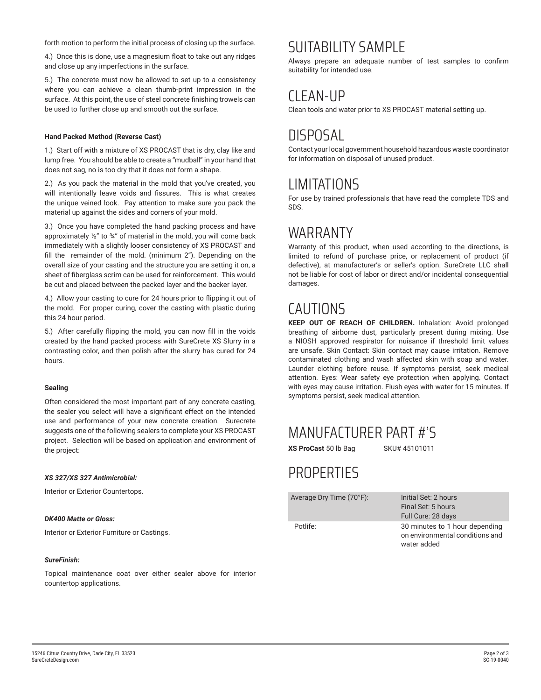forth motion to perform the initial process of closing up the surface.

4.) Once this is done, use a magnesium float to take out any ridges and close up any imperfections in the surface.

5.) The concrete must now be allowed to set up to a consistency where you can achieve a clean thumb-print impression in the surface. At this point, the use of steel concrete finishing trowels can be used to further close up and smooth out the surface.

#### **Hand Packed Method (Reverse Cast)**

1.) Start off with a mixture of XS PROCAST that is dry, clay like and lump free. You should be able to create a "mudball" in your hand that does not sag, no is too dry that it does not form a shape.

2.) As you pack the material in the mold that you've created, you will intentionally leave voids and fissures. This is what creates the unique veined look. Pay attention to make sure you pack the material up against the sides and corners of your mold.

3.) Once you have completed the hand packing process and have approximately  $\frac{1}{2}$ " to  $\frac{3}{4}$ " of material in the mold, you will come back immediately with a slightly looser consistency of XS PROCAST and fill the remainder of the mold. (minimum 2"). Depending on the overall size of your casting and the structure you are setting it on, a sheet of fiberglass scrim can be used for reinforcement. This would be cut and placed between the packed layer and the backer layer.

4.) Allow your casting to cure for 24 hours prior to flipping it out of the mold. For proper curing, cover the casting with plastic during this 24 hour period.

5.) After carefully flipping the mold, you can now fill in the voids created by the hand packed process with SureCrete XS Slurry in a contrasting color, and then polish after the slurry has cured for 24 hours.

#### **Sealing**

Often considered the most important part of any concrete casting, the sealer you select will have a significant effect on the intended use and performance of your new concrete creation. Surecrete suggests one of the following sealers to complete your XS PROCAST project. Selection will be based on application and environment of the project:

#### *XS 327/XS 327 Antimicrobial:*

Interior or Exterior Countertops.

#### *DK400 Matte or Gloss:*

Interior or Exterior Furniture or Castings.

#### *SureFinish:*

Topical maintenance coat over either sealer above for interior countertop applications.

### SUITABILITY SAMPLE

Always prepare an adequate number of test samples to confirm suitability for intended use.

### CLEAN-UP

Clean tools and water prior to XS PROCAST material setting up.

### DISPOSAL

Contact your local government household hazardous waste coordinator for information on disposal of unused product.

### LIMITATIONS

For use by trained professionals that have read the complete TDS and SDS.

### WARRANTY

Warranty of this product, when used according to the directions, is limited to refund of purchase price, or replacement of product (if defective), at manufacturer's or seller's option. SureCrete LLC shall not be liable for cost of labor or direct and/or incidental consequential damages.

### CAUTIONS

**KEEP OUT OF REACH OF CHILDREN.** Inhalation: Avoid prolonged breathing of airborne dust, particularly present during mixing. Use a NIOSH approved respirator for nuisance if threshold limit values are unsafe. Skin Contact: Skin contact may cause irritation. Remove contaminated clothing and wash affected skin with soap and water. Launder clothing before reuse. If symptoms persist, seek medical attention. Eyes: Wear safety eye protection when applying. Contact with eyes may cause irritation. Flush eyes with water for 15 minutes. If symptoms persist, seek medical attention.

### MANUFACTURER PART #'S

**XS ProCast 50 lb Bag SKU# 45101011** 

### **PROPERTIES**

Average Dry Time (70°F): Initial Set: 2 hours

Final Set: 5 hours Full Cure: 28 days e: 30 minutes to 1 hour depending on environmental conditions and water added